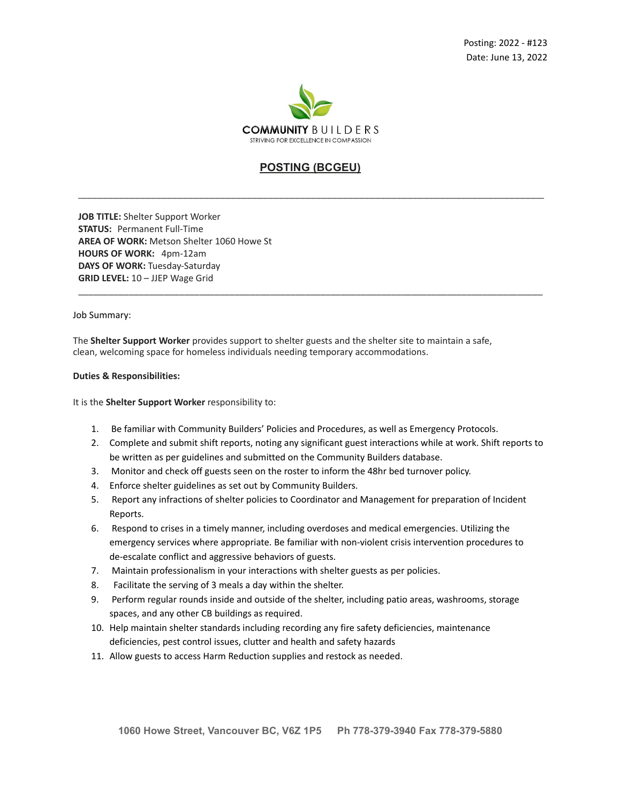

# **POSTING (BCGEU)**

\_\_\_\_\_\_\_\_\_\_\_\_\_\_\_\_\_\_\_\_\_\_\_\_\_\_\_\_\_\_\_\_\_\_\_\_\_\_\_\_\_\_\_\_\_\_\_\_\_\_\_\_\_\_\_\_\_\_\_\_\_\_\_\_\_\_\_\_\_\_\_\_\_\_\_\_\_\_\_\_\_\_\_\_\_\_\_

\_\_\_\_\_\_\_\_\_\_\_\_\_\_\_\_\_\_\_\_\_\_\_\_\_\_\_\_\_\_\_\_\_\_\_\_\_\_\_\_\_\_\_\_\_\_\_\_\_\_\_\_\_\_\_\_\_\_\_\_\_\_\_\_\_\_\_\_\_\_\_\_\_\_\_\_\_\_\_\_\_\_\_\_\_\_\_\_\_\_\_\_

**JOB TITLE:** Shelter Support Worker **STATUS:** Permanent Full-Time **AREA OF WORK:** Metson Shelter 1060 Howe St **HOURS OF WORK:** 4pm-12am **DAYS OF WORK:** Tuesday-Saturday **GRID LEVEL:** 10 – JJEP Wage Grid

### Job Summary:

The **Shelter Support Worker** provides support to shelter guests and the shelter site to maintain a safe, clean, welcoming space for homeless individuals needing temporary accommodations.

### **Duties & Responsibilities:**

It is the **Shelter Support Worker** responsibility to:

- 1. Be familiar with Community Builders' Policies and Procedures, as well as Emergency Protocols.
- 2. Complete and submit shift reports, noting any significant guest interactions while at work. Shift reports to be written as per guidelines and submitted on the Community Builders database.
- 3. Monitor and check off guests seen on the roster to inform the 48hr bed turnover policy.
- 4. Enforce shelter guidelines as set out by Community Builders.
- 5. Report any infractions of shelter policies to Coordinator and Management for preparation of Incident Reports.
- 6. Respond to crises in a timely manner, including overdoses and medical emergencies. Utilizing the emergency services where appropriate. Be familiar with non-violent crisis intervention procedures to de-escalate conflict and aggressive behaviors of guests.
- 7. Maintain professionalism in your interactions with shelter guests as per policies.
- 8. Facilitate the serving of 3 meals a day within the shelter.
- 9. Perform regular rounds inside and outside of the shelter, including patio areas, washrooms, storage spaces, and any other CB buildings as required.
- 10. Help maintain shelter standards including recording any fire safety deficiencies, maintenance deficiencies, pest control issues, clutter and health and safety hazards
- 11. Allow guests to access Harm Reduction supplies and restock as needed.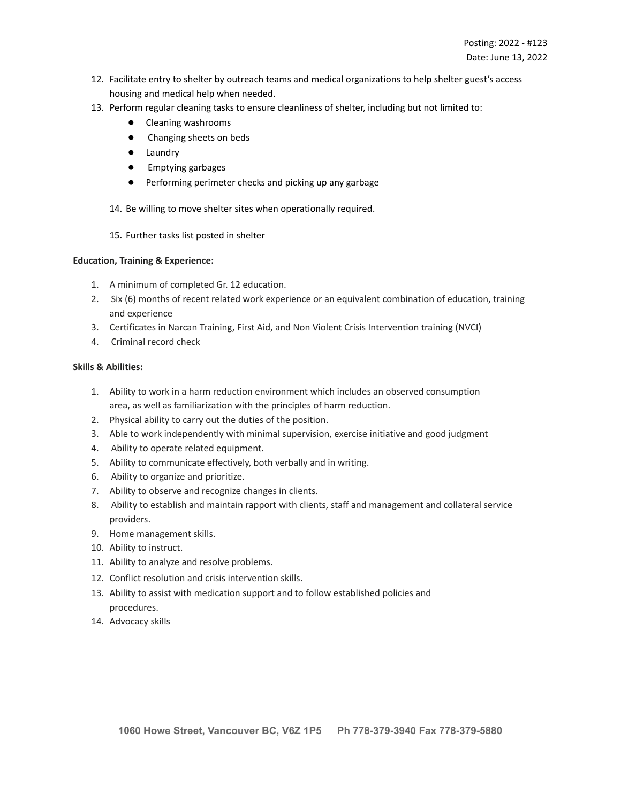- 12. Facilitate entry to shelter by outreach teams and medical organizations to help shelter guest's access housing and medical help when needed.
- 13. Perform regular cleaning tasks to ensure cleanliness of shelter, including but not limited to:
	- Cleaning washrooms
	- Changing sheets on beds
	- Laundry
	- Emptying garbages
	- Performing perimeter checks and picking up any garbage

14. Be willing to move shelter sites when operationally required.

15. Further tasks list posted in shelter

# **Education, Training & Experience:**

- 1. A minimum of completed Gr. 12 education.
- 2. Six (6) months of recent related work experience or an equivalent combination of education, training and experience
- 3. Certificates in Narcan Training, First Aid, and Non Violent Crisis Intervention training (NVCI)
- 4. Criminal record check

# **Skills & Abilities:**

- 1. Ability to work in a harm reduction environment which includes an observed consumption area, as well as familiarization with the principles of harm reduction.
- 2. Physical ability to carry out the duties of the position.
- 3. Able to work independently with minimal supervision, exercise initiative and good judgment
- 4. Ability to operate related equipment.
- 5. Ability to communicate effectively, both verbally and in writing.
- 6. Ability to organize and prioritize.
- 7. Ability to observe and recognize changes in clients.
- 8. Ability to establish and maintain rapport with clients, staff and management and collateral service providers.
- 9. Home management skills.
- 10. Ability to instruct.
- 11. Ability to analyze and resolve problems.
- 12. Conflict resolution and crisis intervention skills.
- 13. Ability to assist with medication support and to follow established policies and procedures.
- 14. Advocacy skills